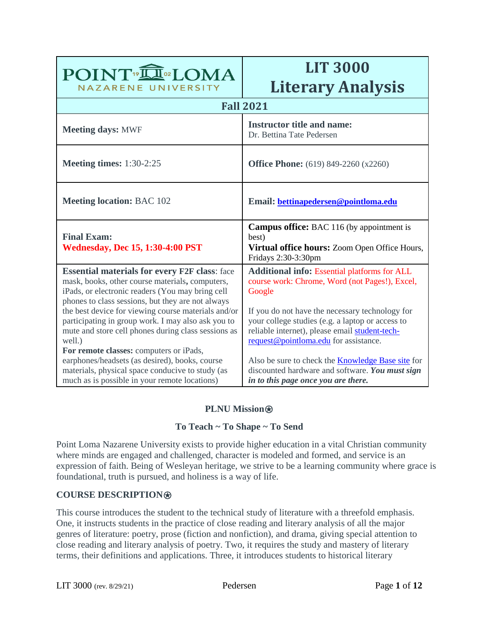| POINT <sup>®</sup> ID®LOMA                                                                                                                                                                                       | <b>LIT 3000</b>                                                                                                                                                                                |  |
|------------------------------------------------------------------------------------------------------------------------------------------------------------------------------------------------------------------|------------------------------------------------------------------------------------------------------------------------------------------------------------------------------------------------|--|
| NAZARENE UNIVERSITY                                                                                                                                                                                              | <b>Literary Analysis</b>                                                                                                                                                                       |  |
| <b>Fall 2021</b>                                                                                                                                                                                                 |                                                                                                                                                                                                |  |
| <b>Meeting days: MWF</b>                                                                                                                                                                                         | <b>Instructor title and name:</b><br>Dr. Bettina Tate Pedersen                                                                                                                                 |  |
| <b>Meeting times:</b> 1:30-2:25                                                                                                                                                                                  | <b>Office Phone:</b> (619) 849-2260 (x2260)                                                                                                                                                    |  |
| <b>Meeting location: BAC 102</b>                                                                                                                                                                                 | Email: bettinapedersen@pointloma.edu                                                                                                                                                           |  |
| <b>Final Exam:</b><br><b>Wednesday, Dec 15, 1:30-4:00 PST</b>                                                                                                                                                    | <b>Campus office:</b> BAC 116 (by appointment is<br>best)<br><b>Virtual office hours:</b> Zoom Open Office Hours,<br>Fridays 2:30-3:30pm                                                       |  |
| <b>Essential materials for every F2F class:</b> face<br>mask, books, other course materials, computers,<br>iPads, or electronic readers (You may bring cell<br>phones to class sessions, but they are not always | <b>Additional info: Essential platforms for ALL</b><br>course work: Chrome, Word (not Pages!), Excel,<br>Google                                                                                |  |
| the best device for viewing course materials and/or<br>participating in group work. I may also ask you to<br>mute and store cell phones during class sessions as<br>well.)                                       | If you do not have the necessary technology for<br>your college studies (e.g. a laptop or access to<br>reliable internet), please email student-tech-<br>request@pointloma.edu for assistance. |  |
| For remote classes: computers or iPads,<br>earphones/headsets (as desired), books, course<br>materials, physical space conducive to study (as<br>much as is possible in your remote locations)                   | Also be sure to check the <b>Knowledge Base site</b> for<br>discounted hardware and software. You must sign<br>in to this page once you are there.                                             |  |

# **PLNU Mission**<sup></sup>

### **To Teach ~ To Shape ~ To Send**

Point Loma Nazarene University exists to provide higher education in a vital Christian community where minds are engaged and challenged, character is modeled and formed, and service is an expression of faith. Being of Wesleyan heritage, we strive to be a learning community where grace is foundational, truth is pursued, and holiness is a way of life.

### **COURSE DESCRIPTION**⍟

This course introduces the student to the technical study of literature with a threefold emphasis. One, it instructs students in the practice of close reading and literary analysis of all the major genres of literature: poetry, prose (fiction and nonfiction), and drama, giving special attention to close reading and literary analysis of poetry. Two, it requires the study and mastery of literary terms, their definitions and applications. Three, it introduces students to historical literary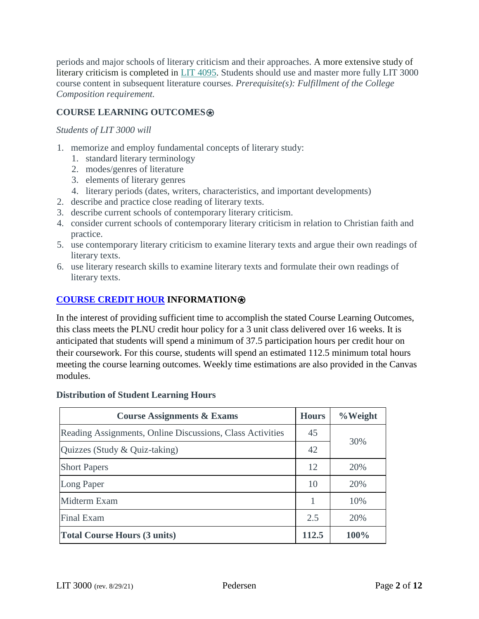periods and major schools of literary criticism and their approaches. A more extensive study of literary criticism is completed in LIT [4095.](https://catalog.pointloma.edu/preview_program.php?catoid=46&poid=3699&returnto=2633#tt1080) Students should use and master more fully LIT 3000 course content in subsequent literature courses. *Prerequisite(s): Fulfillment of the College Composition requirement.*

# **COURSE LEARNING OUTCOMES**⍟

### *Students of LIT 3000 will*

- 1. memorize and employ fundamental concepts of literary study:
	- 1. standard literary terminology
	- 2. modes/genres of literature
	- 3. elements of literary genres
	- 4. literary periods (dates, writers, characteristics, and important developments)
- 2. describe and practice close reading of literary texts.
- 3. describe current schools of contemporary literary criticism.
- 4. consider current schools of contemporary literary criticism in relation to Christian faith and practice.
- 5. use contemporary literary criticism to examine literary texts and argue their own readings of literary texts.
- 6. use literary research skills to examine literary texts and formulate their own readings of literary texts.

# **[COURSE CREDIT HOUR](https://catalog.pointloma.edu/content.php?catoid=52&navoid=2919#Credit_Hour_Definition) INFORMATION**⍟

In the interest of providing sufficient time to accomplish the stated Course Learning Outcomes, this class meets the PLNU credit hour policy for a 3 unit class delivered over 16 weeks. It is anticipated that students will spend a minimum of 37.5 participation hours per credit hour on their coursework. For this course, students will spend an estimated 112.5 minimum total hours meeting the course learning outcomes. Weekly time estimations are also provided in the Canvas modules.

#### **Distribution of Student Learning Hours**

| <b>Course Assignments &amp; Exams</b>                     | <b>Hours</b> | % Weight |
|-----------------------------------------------------------|--------------|----------|
| Reading Assignments, Online Discussions, Class Activities | 45           |          |
| Quizzes (Study & Quiz-taking)                             | 30%<br>42    |          |
| <b>Short Papers</b>                                       | 12           | 20%      |
| Long Paper                                                | 10           | 20%      |
| Midterm Exam                                              |              | 10%      |
| <b>Final Exam</b>                                         | 2.5          | 20%      |
| <b>Total Course Hours (3 units)</b>                       | 112.5        | $100\%$  |

 $\overline{a}$ 

ц.

 $\overline{\phantom{0}}$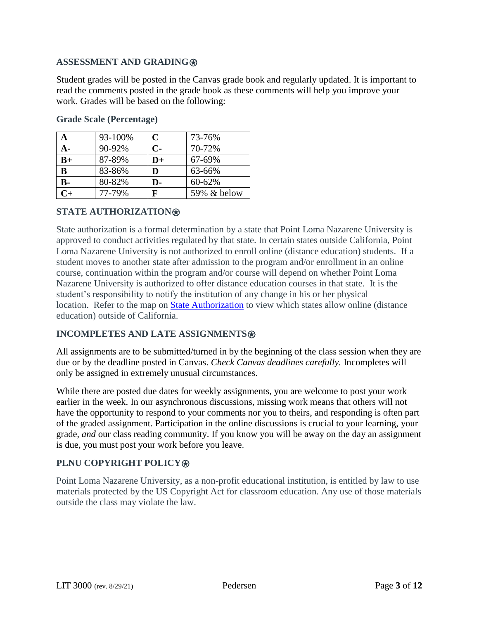### **ASSESSMENT AND GRADING**⍟

Student grades will be posted in the Canvas grade book and regularly updated. It is important to read the comments posted in the grade book as these comments will help you improve your work. Grades will be based on the following:

| A              | 93-100% | C             | 73-76%      |
|----------------|---------|---------------|-------------|
| A-             | 90-92%  | $C-$          | 70-72%      |
| $B+$           | 87-89%  | $\mathbf{D}+$ | 67-69%      |
| $\bf{B}$       | 83-86%  | D             | 63-66%      |
| $\mathbf{B}$ - | 80-82%  | D-            | 60-62%      |
| $C+$           | 77-79%  | F             | 59% & below |

#### **Grade Scale (Percentage)**

### **STATE AUTHORIZATION**⍟

State authorization is a formal determination by a state that Point Loma Nazarene University is approved to conduct activities regulated by that state. In certain states outside California, Point Loma Nazarene University is not authorized to enroll online (distance education) students. If a student moves to another state after admission to the program and/or enrollment in an online course, continuation within the program and/or course will depend on whether Point Loma Nazarene University is authorized to offer distance education courses in that state. It is the student's responsibility to notify the institution of any change in his or her physical location. Refer to the map on [State Authorization](https://www.pointloma.edu/offices/office-institutional-effectiveness-research/disclosures) to view which states allow online (distance education) outside of California.

### **INCOMPLETES AND LATE ASSIGNMENTS**

All assignments are to be submitted/turned in by the beginning of the class session when they are due or by the deadline posted in Canvas. *Check Canvas deadlines carefully.* Incompletes will only be assigned in extremely unusual circumstances.

While there are posted due dates for weekly assignments, you are welcome to post your work earlier in the week. In our asynchronous discussions, missing work means that others will not have the opportunity to respond to your comments nor you to theirs, and responding is often part of the graded assignment. Participation in the online discussions is crucial to your learning, your grade, *and* our class reading community. If you know you will be away on the day an assignment is due, you must post your work before you leave.

### **PLNU COPYRIGHT POLICY**⍟

Point Loma Nazarene University, as a non-profit educational institution, is entitled by law to use materials protected by the US Copyright Act for classroom education. Any use of those materials outside the class may violate the law.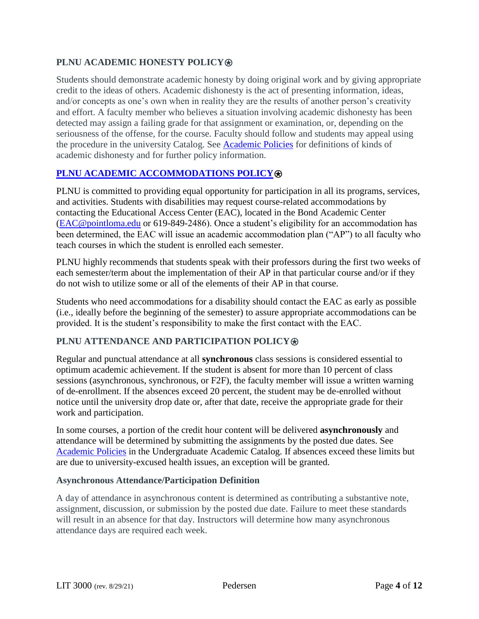# **PLNU ACADEMIC HONESTY POLICY**⍟

Students should demonstrate academic honesty by doing original work and by giving appropriate credit to the ideas of others. Academic dishonesty is the act of presenting information, ideas, and/or concepts as one's own when in reality they are the results of another person's creativity and effort. A faculty member who believes a situation involving academic dishonesty has been detected may assign a failing grade for that assignment or examination, or, depending on the seriousness of the offense, for the course. Faculty should follow and students may appeal using the procedure in the university Catalog. See [Academic Policies](https://catalog.pointloma.edu/content.php?catoid=52&navoid=2919) for definitions of kinds of academic dishonesty and for further policy information.

# **[PLNU ACADEMIC ACCOMMODATIONS POLICY](https://catalog.pointloma.edu/content.php?catoid=52&navoid=2919#Academic_Accommodations)®**

PLNU is committed to providing equal opportunity for participation in all its programs, services, and activities. Students with disabilities may request course-related accommodations by contacting the Educational Access Center (EAC), located in the Bond Academic Center [\(EAC@pointloma.edu](mailto:EAC@pointloma.edu) or 619-849-2486). Once a student's eligibility for an accommodation has been determined, the EAC will issue an academic accommodation plan ("AP") to all faculty who teach courses in which the student is enrolled each semester.

PLNU highly recommends that students speak with their professors during the first two weeks of each semester/term about the implementation of their AP in that particular course and/or if they do not wish to utilize some or all of the elements of their AP in that course.

Students who need accommodations for a disability should contact the EAC as early as possible (i.e., ideally before the beginning of the semester) to assure appropriate accommodations can be provided. It is the student's responsibility to make the first contact with the EAC.

### **PLNU ATTENDANCE AND PARTICIPATION POLICY**⍟

Regular and punctual attendance at all **synchronous** class sessions is considered essential to optimum academic achievement. If the student is absent for more than 10 percent of class sessions (asynchronous, synchronous, or F2F), the faculty member will issue a written warning of de-enrollment. If the absences exceed 20 percent, the student may be de-enrolled without notice until the university drop date or, after that date, receive the appropriate grade for their work and participation.

In some courses, a portion of the credit hour content will be delivered **asynchronously** and attendance will be determined by submitting the assignments by the posted due dates. See [Academic](https://catalog.pointloma.edu/content.php?catoid=52&navoid=2919#Class_Attendance) Policies in the Undergraduate Academic Catalog. If absences exceed these limits but are due to university-excused health issues, an exception will be granted.

#### **Asynchronous Attendance/Participation Definition**

A day of attendance in asynchronous content is determined as contributing a substantive note, assignment, discussion, or submission by the posted due date. Failure to meet these standards will result in an absence for that day. Instructors will determine how many asynchronous attendance days are required each week.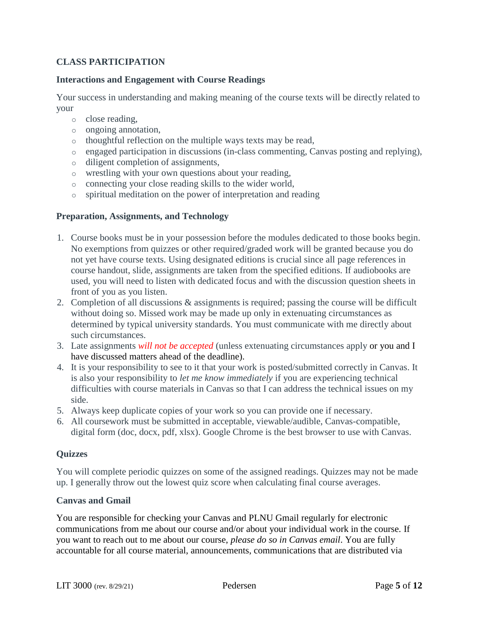# **CLASS PARTICIPATION**

#### **Interactions and Engagement with Course Readings**

Your success in understanding and making meaning of the course texts will be directly related to your

- o close reading,
- o ongoing annotation,
- o thoughtful reflection on the multiple ways texts may be read,
- o engaged participation in discussions (in-class commenting, Canvas posting and replying),
- o diligent completion of assignments,
- o wrestling with your own questions about your reading,
- o connecting your close reading skills to the wider world,
- o spiritual meditation on the power of interpretation and reading

#### **Preparation, Assignments, and Technology**

- 1. Course books must be in your possession before the modules dedicated to those books begin. No exemptions from quizzes or other required/graded work will be granted because you do not yet have course texts. Using designated editions is crucial since all page references in course handout, slide, assignments are taken from the specified editions. If audiobooks are used, you will need to listen with dedicated focus and with the discussion question sheets in front of you as you listen.
- 2. Completion of all discussions & assignments is required; passing the course will be difficult without doing so. Missed work may be made up only in extenuating circumstances as determined by typical university standards. You must communicate with me directly about such circumstances.
- 3. Late assignments *will not be accepted* (unless extenuating circumstances apply or you and I have discussed matters ahead of the deadline).
- 4. It is your responsibility to see to it that your work is posted/submitted correctly in Canvas. It is also your responsibility to *let me know immediately* if you are experiencing technical difficulties with course materials in Canvas so that I can address the technical issues on my side.
- 5. Always keep duplicate copies of your work so you can provide one if necessary.
- 6. All coursework must be submitted in acceptable, viewable/audible, Canvas-compatible, digital form (doc, docx, pdf, xlsx). Google Chrome is the best browser to use with Canvas.

#### **Quizzes**

You will complete periodic quizzes on some of the assigned readings. Quizzes may not be made up. I generally throw out the lowest quiz score when calculating final course averages.

#### **Canvas and Gmail**

You are responsible for checking your Canvas and PLNU Gmail regularly for electronic communications from me about our course and/or about your individual work in the course. If you want to reach out to me about our course, *please do so in Canvas email*. You are fully accountable for all course material, announcements, communications that are distributed via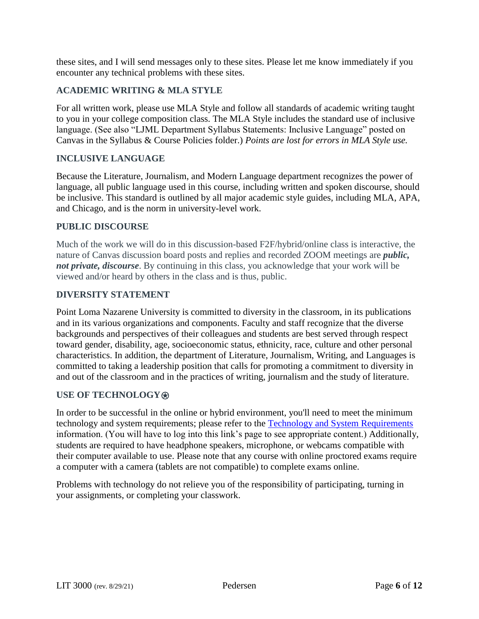these sites, and I will send messages only to these sites. Please let me know immediately if you encounter any technical problems with these sites.

# **ACADEMIC WRITING & MLA STYLE**

For all written work, please use MLA Style and follow all standards of academic writing taught to you in your college composition class. The MLA Style includes the standard use of inclusive language. (See also "LJML Department Syllabus Statements: Inclusive Language" posted on Canvas in the Syllabus & Course Policies folder.) *Points are lost for errors in MLA Style use.*

### **INCLUSIVE LANGUAGE**

Because the Literature, Journalism, and Modern Language department recognizes the power of language, all public language used in this course, including written and spoken discourse, should be inclusive. This standard is outlined by all major academic style guides, including MLA, APA, and Chicago, and is the norm in university-level work.

#### **PUBLIC DISCOURSE**

Much of the work we will do in this discussion-based F2F/hybrid/online class is interactive, the nature of Canvas discussion board posts and replies and recorded ZOOM meetings are *public, not private, discourse*. By continuing in this class, you acknowledge that your work will be viewed and/or heard by others in the class and is thus, public.

#### **DIVERSITY STATEMENT**

Point Loma Nazarene University is committed to diversity in the classroom, in its publications and in its various organizations and components. Faculty and staff recognize that the diverse backgrounds and perspectives of their colleagues and students are best served through respect toward gender, disability, age, socioeconomic status, ethnicity, race, culture and other personal characteristics. In addition, the department of Literature, Journalism, Writing, and Languages is committed to taking a leadership position that calls for promoting a commitment to diversity in and out of the classroom and in the practices of writing, journalism and the study of literature.

#### **USE OF TECHNOLOGY**⍟

In order to be successful in the online or hybrid environment, you'll need to meet the minimum technology and system requirements; please refer to the **Technology and System Requirements** information. (You will have to log into this link's page to see appropriate content.) Additionally, students are required to have headphone speakers, microphone, or webcams compatible with their computer available to use. Please note that any course with online proctored exams require a computer with a camera (tablets are not compatible) to complete exams online.

Problems with technology do not relieve you of the responsibility of participating, turning in your assignments, or completing your classwork.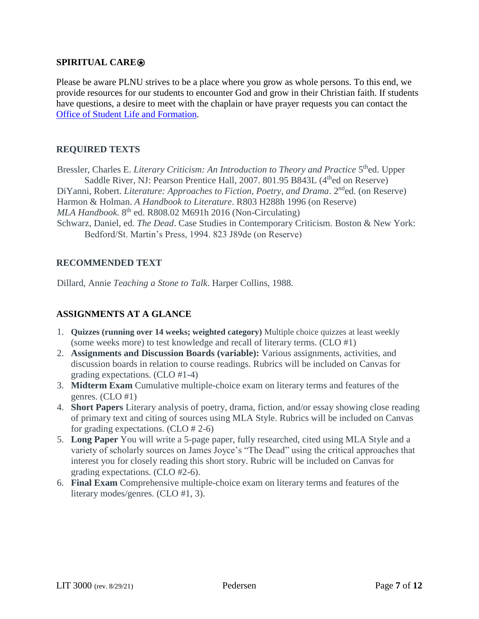### **SPIRITUAL CARE**⍟

Please be aware PLNU strives to be a place where you grow as whole persons. To this end, we provide resources for our students to encounter God and grow in their Christian faith. If students have questions, a desire to meet with the chaplain or have prayer requests you can contact the Office of Student Life and [Formation.](https://www.pointloma.edu/offices/student-life-formation)

### **REQUIRED TEXTS**

Bressler, Charles E. *Literary Criticism: An Introduction to Theory and Practice* 5<sup>th</sup>ed. Upper Saddle River, NJ: Pearson Prentice Hall, 2007. 801.95 B843L (4<sup>th</sup>ed on Reserve) DiYanni, Robert. *Literature: Approaches to Fiction, Poetry, and Drama.* 2<sup>nd</sup>ed. (on Reserve) Harmon & Holman. *A Handbook to Literature*. R803 H288h 1996 (on Reserve) *MLA Handbook*. 8th ed. R808.02 M691h 2016 (Non-Circulating) Schwarz, Daniel, ed. *The Dead*. Case Studies in Contemporary Criticism. Boston & New York: Bedford/St. Martin's Press, 1994. 823 J89de (on Reserve)

### **RECOMMENDED TEXT**

Dillard, Annie *Teaching a Stone to Talk*. Harper Collins, 1988.

### **ASSIGNMENTS AT A GLANCE**

- 1. **Quizzes (running over 14 weeks; weighted category)** Multiple choice quizzes at least weekly (some weeks more) to test knowledge and recall of literary terms. (CLO #1)
- 2. **Assignments and Discussion Boards (variable):** Various assignments, activities, and discussion boards in relation to course readings. Rubrics will be included on Canvas for grading expectations. (CLO #1-4)
- 3. **Midterm Exam** Cumulative multiple-choice exam on literary terms and features of the genres. (CLO #1)
- 4. **Short Papers** Literary analysis of poetry, drama, fiction, and/or essay showing close reading of primary text and citing of sources using MLA Style. Rubrics will be included on Canvas for grading expectations. (CLO # 2-6)
- 5. **Long Paper** You will write a 5-page paper, fully researched, cited using MLA Style and a variety of scholarly sources on James Joyce's "The Dead" using the critical approaches that interest you for closely reading this short story. Rubric will be included on Canvas for grading expectations. (CLO #2-6).
- 6. **Final Exam** Comprehensive multiple-choice exam on literary terms and features of the literary modes/genres. (CLO #1, 3).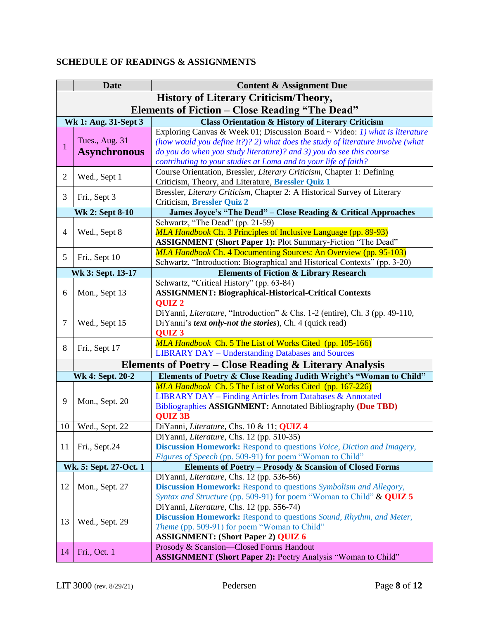# **SCHEDULE OF READINGS & ASSIGNMENTS**

|                | <b>Date</b>                                                                       | <b>Content &amp; Assignment Due</b>                                                                                         |  |  |  |
|----------------|-----------------------------------------------------------------------------------|-----------------------------------------------------------------------------------------------------------------------------|--|--|--|
|                | <b>History of Literary Criticism/Theory,</b>                                      |                                                                                                                             |  |  |  |
|                | <b>Elements of Fiction – Close Reading "The Dead"</b>                             |                                                                                                                             |  |  |  |
|                | Wk 1: Aug. 31-Sept 3                                                              | <b>Class Orientation &amp; History of Literary Criticism</b>                                                                |  |  |  |
|                |                                                                                   | Exploring Canvas & Week 01; Discussion Board $\sim$ Video: 1) what is literature                                            |  |  |  |
| $\mathbf{1}$   | Tues., Aug. 31                                                                    | (how would you define it?)? 2) what does the study of literature involve (what                                              |  |  |  |
|                | <b>Asynchronous</b>                                                               | do you do when you study literature)? and 3) you do see this course                                                         |  |  |  |
|                |                                                                                   | contributing to your studies at Loma and to your life of faith?                                                             |  |  |  |
| $\overline{2}$ | Wed., Sept 1                                                                      | Course Orientation, Bressler, Literary Criticism, Chapter 1: Defining<br>Criticism, Theory, and Literature, Bressler Quiz 1 |  |  |  |
|                |                                                                                   | Bressler, Literary Criticism, Chapter 2: A Historical Survey of Literary                                                    |  |  |  |
| 3              | Fri., Sept 3                                                                      | Criticism, Bressler Quiz 2                                                                                                  |  |  |  |
|                | <b>Wk 2: Sept 8-10</b>                                                            | James Joyce's "The Dead" - Close Reading & Critical Approaches                                                              |  |  |  |
|                |                                                                                   | Schwartz, "The Dead" (pp. 21-59)                                                                                            |  |  |  |
| 4              | Wed., Sept 8                                                                      | MLA Handbook Ch. 3 Principles of Inclusive Language (pp. 89-93)                                                             |  |  |  |
|                |                                                                                   | <b>ASSIGNMENT</b> (Short Paper 1): Plot Summary-Fiction "The Dead"                                                          |  |  |  |
| 5              | Fri., Sept 10                                                                     | <b>MLA Handbook Ch. 4 Documenting Sources: An Overview (pp. 95-103)</b>                                                     |  |  |  |
|                |                                                                                   | Schwartz, "Introduction: Biographical and Historical Contexts" (pp. 3-20)                                                   |  |  |  |
|                | Wk 3: Sept. 13-17                                                                 | <b>Elements of Fiction &amp; Library Research</b>                                                                           |  |  |  |
|                |                                                                                   | Schwartz, "Critical History" (pp. 63-84)                                                                                    |  |  |  |
| 6              | Mon., Sept 13                                                                     | <b>ASSIGNMENT: Biographical-Historical-Critical Contexts</b>                                                                |  |  |  |
|                |                                                                                   | QUIZ <sub>2</sub>                                                                                                           |  |  |  |
|                |                                                                                   | DiYanni, Literature, "Introduction" & Chs. 1-2 (entire), Ch. 3 (pp. 49-110,                                                 |  |  |  |
| 7              | Wed., Sept 15                                                                     | DiYanni's <i>text only-not the stories</i> ), Ch. 4 (quick read)<br>QUIZ <sub>3</sub>                                       |  |  |  |
|                |                                                                                   | MLA Handbook Ch. 5 The List of Works Cited (pp. 105-166)                                                                    |  |  |  |
| 8              | Fri., Sept 17                                                                     | <b>LIBRARY DAY - Understanding Databases and Sources</b>                                                                    |  |  |  |
|                |                                                                                   | <b>Elements of Poetry – Close Reading &amp; Literary Analysis</b>                                                           |  |  |  |
|                | Wk 4: Sept. 20-2                                                                  | Elements of Poetry & Close Reading Judith Wright's "Woman to Child"                                                         |  |  |  |
|                |                                                                                   | MLA Handbook Ch. 5 The List of Works Cited (pp. 167-226)                                                                    |  |  |  |
|                |                                                                                   | <b>LIBRARY DAY - Finding Articles from Databases &amp; Annotated</b>                                                        |  |  |  |
| 9              | Mon., Sept. 20                                                                    | Bibliographies ASSIGNMENT: Annotated Bibliography (Due TBD)                                                                 |  |  |  |
|                |                                                                                   | <b>QUIZ 3B</b>                                                                                                              |  |  |  |
|                | 10   Wed., Sept. 22                                                               | DiYanni, Literature, Chs. 10 & 11; QUIZ 4                                                                                   |  |  |  |
|                |                                                                                   | DiYanni, <i>Literature</i> , Chs. 12 (pp. 510-35)                                                                           |  |  |  |
| 11             | Fri., Sept.24                                                                     | Discussion Homework: Respond to questions Voice, Diction and Imagery,                                                       |  |  |  |
|                |                                                                                   | Figures of Speech (pp. 509-91) for poem "Woman to Child"                                                                    |  |  |  |
|                | Elements of Poetry – Prosody & Scansion of Closed Forms<br>Wk. 5: Sept. 27-Oct. 1 |                                                                                                                             |  |  |  |
|                |                                                                                   | DiYanni, Literature, Chs. 12 (pp. 536-56)                                                                                   |  |  |  |
| 12             | Mon., Sept. 27                                                                    | <b>Discussion Homework:</b> Respond to questions Symbolism and Allegory,                                                    |  |  |  |
|                |                                                                                   | Syntax and Structure (pp. 509-91) for poem "Woman to Child" & QUIZ 5                                                        |  |  |  |
|                | Wed., Sept. 29                                                                    | DiYanni, Literature, Chs. 12 (pp. 556-74)                                                                                   |  |  |  |
| 13             |                                                                                   | <b>Discussion Homework:</b> Respond to questions Sound, Rhythm, and Meter,                                                  |  |  |  |
|                |                                                                                   | Theme (pp. 509-91) for poem "Woman to Child"                                                                                |  |  |  |
|                |                                                                                   | <b>ASSIGNMENT: (Short Paper 2) QUIZ 6</b>                                                                                   |  |  |  |
| 14             | Fri., Oct. 1                                                                      | Prosody & Scansion-Closed Forms Handout                                                                                     |  |  |  |
|                |                                                                                   | <b>ASSIGNMENT (Short Paper 2): Poetry Analysis "Woman to Child"</b>                                                         |  |  |  |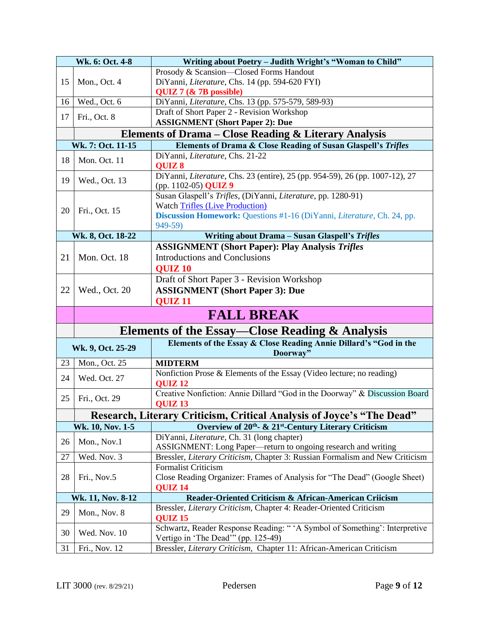|                   | Wk. 6: Oct. 4-8                                                                                                                      | Writing about Poetry - Judith Wright's "Woman to Child"                                    |  |  |
|-------------------|--------------------------------------------------------------------------------------------------------------------------------------|--------------------------------------------------------------------------------------------|--|--|
|                   | Mon., Oct. 4                                                                                                                         | Prosody & Scansion-Closed Forms Handout                                                    |  |  |
| 15                |                                                                                                                                      | DiYanni, Literature, Chs. 14 (pp. 594-620 FYI)                                             |  |  |
|                   |                                                                                                                                      | QUIZ 7 (& 7B possible)                                                                     |  |  |
| 16                | Wed., Oct. 6                                                                                                                         | DiYanni, Literature, Chs. 13 (pp. 575-579, 589-93)                                         |  |  |
| 17                | Fri., Oct. 8                                                                                                                         | Draft of Short Paper 2 - Revision Workshop                                                 |  |  |
|                   | <b>ASSIGNMENT</b> (Short Paper 2): Due                                                                                               |                                                                                            |  |  |
|                   |                                                                                                                                      | <b>Elements of Drama – Close Reading &amp; Literary Analysis</b>                           |  |  |
|                   | Wk. 7: Oct. 11-15                                                                                                                    | Elements of Drama & Close Reading of Susan Glaspell's Trifles                              |  |  |
| 18                | Mon. Oct. 11                                                                                                                         | DiYanni, Literature, Chs. 21-22<br><b>QUIZ 8</b>                                           |  |  |
| 19                | DiYanni, <i>Literature</i> , Chs. 23 (entire), 25 (pp. 954-59), 26 (pp. 1007-12), 27<br>Wed., Oct. 13<br>(pp. 1102-05) <b>QUIZ 9</b> |                                                                                            |  |  |
|                   |                                                                                                                                      | Susan Glaspell's Trifles, (DiYanni, Literature, pp. 1280-91)                               |  |  |
| 20                | Fri., Oct. 15                                                                                                                        | <b>Watch Trifles (Live Production)</b>                                                     |  |  |
|                   |                                                                                                                                      | Discussion Homework: Questions #1-16 (DiYanni, Literature, Ch. 24, pp.                     |  |  |
|                   |                                                                                                                                      | 949-59)                                                                                    |  |  |
|                   | Wk. 8, Oct. 18-22                                                                                                                    | Writing about Drama - Susan Glaspell's Trifles                                             |  |  |
|                   |                                                                                                                                      | <b>ASSIGNMENT</b> (Short Paper): Play Analysis Trifles                                     |  |  |
| 21                | Mon. Oct. 18                                                                                                                         | <b>Introductions and Conclusions</b>                                                       |  |  |
|                   |                                                                                                                                      | <b>QUIZ 10</b>                                                                             |  |  |
|                   |                                                                                                                                      | Draft of Short Paper 3 - Revision Workshop                                                 |  |  |
| 22                | Wed., Oct. 20                                                                                                                        | <b>ASSIGNMENT</b> (Short Paper 3): Due                                                     |  |  |
|                   |                                                                                                                                      | <b>QUIZ 11</b>                                                                             |  |  |
|                   |                                                                                                                                      | <b>FALL BREAK</b>                                                                          |  |  |
|                   |                                                                                                                                      | <b>Elements of the Essay—Close Reading &amp; Analysis</b>                                  |  |  |
| Wk. 9, Oct. 25-29 |                                                                                                                                      | Elements of the Essay & Close Reading Annie Dillard's "God in the<br>Doorway"              |  |  |
| 23                | Mon., Oct. 25                                                                                                                        | <b>MIDTERM</b>                                                                             |  |  |
| 24                | Wed. Oct. 27                                                                                                                         | Nonfiction Prose & Elements of the Essay (Video lecture; no reading)<br>QUIZ <sub>12</sub> |  |  |
| 25                | Creative Nonfiction: Annie Dillard "God in the Doorway" & Discussion Board<br>Fri., Oct. 29<br><b>OUIZ 13</b>                        |                                                                                            |  |  |
|                   | Research, Literary Criticism, Critical Analysis of Joyce's "The Dead"                                                                |                                                                                            |  |  |
|                   | Wk. 10, Nov. 1-5                                                                                                                     | Overview of 20 <sup>th</sup> - & 21 <sup>st</sup> -Century Literary Criticism              |  |  |
|                   |                                                                                                                                      | DiYanni, Literature, Ch. 31 (long chapter)                                                 |  |  |
| 26                | Mon., Nov.1                                                                                                                          | ASSIGNMENT: Long Paper—return to ongoing research and writing                              |  |  |
| 27                | Wed. Nov. 3<br>Bressler, Literary Criticism, Chapter 3: Russian Formalism and New Criticism                                          |                                                                                            |  |  |
|                   |                                                                                                                                      | Formalist Criticism                                                                        |  |  |
| 28                | Fri., Nov.5                                                                                                                          | Close Reading Organizer: Frames of Analysis for "The Dead" (Google Sheet)                  |  |  |
|                   |                                                                                                                                      | <b>QUIZ 14</b>                                                                             |  |  |
|                   | Wk. 11, Nov. 8-12                                                                                                                    | Reader-Oriented Criticism & African-American Criicism                                      |  |  |
| 29                | Mon., Nov. 8                                                                                                                         | Bressler, Literary Criticism, Chapter 4: Reader-Oriented Criticism<br>QUIZ <sub>15</sub>   |  |  |
| 30                | Wed. Nov. 10                                                                                                                         | Schwartz, Reader Response Reading: "'A Symbol of Something': Interpretive                  |  |  |
|                   |                                                                                                                                      | Vertigo in 'The Dead'" (pp. 125-49)                                                        |  |  |
| 31                | Fri., Nov. 12                                                                                                                        | Bressler, Literary Criticism, Chapter 11: African-American Criticism                       |  |  |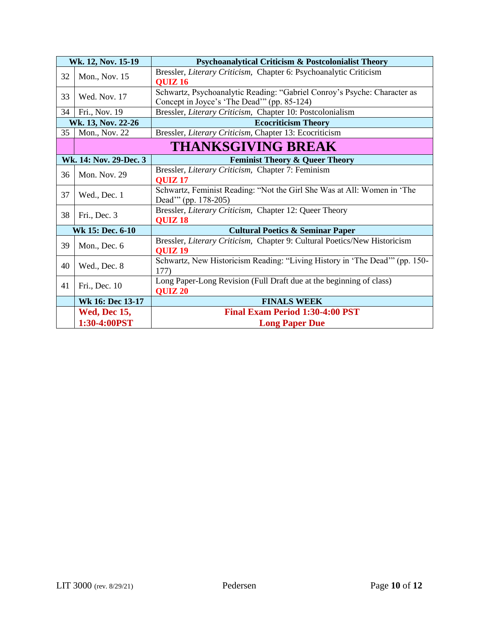|                    | Wk. 12, Nov. 15-19        | <b>Psychoanalytical Criticism &amp; Postcolonialist Theory</b>                                                          |  |  |
|--------------------|---------------------------|-------------------------------------------------------------------------------------------------------------------------|--|--|
| 32                 | Mon., Nov. 15             | Bressler, Literary Criticism, Chapter 6: Psychoanalytic Criticism<br><b>OUIZ 16</b>                                     |  |  |
| 33                 | Wed. Nov. 17              | Schwartz, Psychoanalytic Reading: "Gabriel Conroy's Psyche: Character as<br>Concept in Joyce's 'The Dead'" (pp. 85-124) |  |  |
| 34                 | Fri., Nov. 19             | Bressler, Literary Criticism, Chapter 10: Postcolonialism                                                               |  |  |
| Wk. 13, Nov. 22-26 |                           | <b>Ecocriticism Theory</b>                                                                                              |  |  |
| 35                 | Mon., Nov. 22             | Bressler, Literary Criticism, Chapter 13: Ecocriticism                                                                  |  |  |
|                    | <b>THANKSGIVING BREAK</b> |                                                                                                                         |  |  |
|                    | Wk. 14: Nov. 29-Dec. 3    | <b>Feminist Theory &amp; Queer Theory</b>                                                                               |  |  |
| 36                 | Mon. Nov. 29              | Bressler, Literary Criticism, Chapter 7: Feminism<br><b>OUIZ 17</b>                                                     |  |  |
| 37                 | Wed., Dec. 1              | Schwartz, Feminist Reading: "Not the Girl She Was at All: Women in 'The<br>Dead" (pp. 178-205)                          |  |  |
| 38                 | Fri., Dec. 3              | Bressler, Literary Criticism, Chapter 12: Queer Theory<br><b>QUIZ 18</b>                                                |  |  |
|                    | Wk 15: Dec. 6-10          | <b>Cultural Poetics &amp; Seminar Paper</b>                                                                             |  |  |
| 39                 | Mon., Dec. 6              | Bressler, Literary Criticism, Chapter 9: Cultural Poetics/New Historicism<br><b>OUIZ 19</b>                             |  |  |
| 40                 | Wed., Dec. 8              | Schwartz, New Historicism Reading: "Living History in 'The Dead'" (pp. 150-<br>177)                                     |  |  |
| 41                 | Fri., Dec. 10             | Long Paper-Long Revision (Full Draft due at the beginning of class)<br><b>QUIZ 20</b>                                   |  |  |
|                    | Wk 16: Dec 13-17          | <b>FINALS WEEK</b>                                                                                                      |  |  |
|                    | <b>Wed, Dec 15,</b>       | <b>Final Exam Period 1:30-4:00 PST</b>                                                                                  |  |  |
|                    | 1:30-4:00PST              | <b>Long Paper Due</b>                                                                                                   |  |  |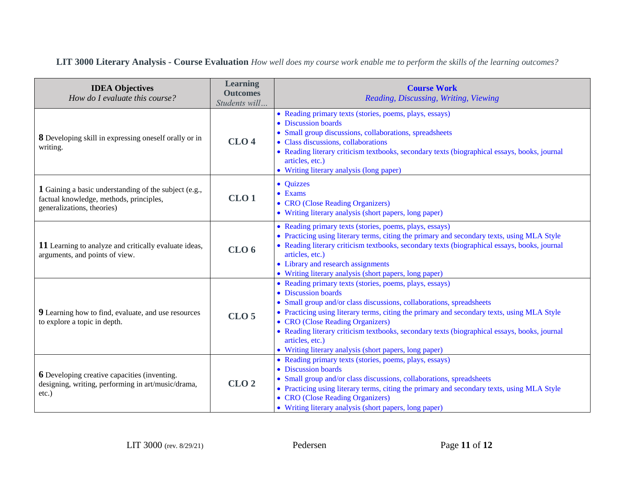**LIT 3000 Literary Analysis - Course Evaluation** *How well does my course work enable me to perform the skills of the learning outcomes?*

| <b>IDEA Objectives</b><br>How do I evaluate this course?                                                                       | <b>Learning</b><br><b>Outcomes</b><br>Students will | <b>Course Work</b><br>Reading, Discussing, Writing, Viewing                                                                                                                                                                                                                                                                                                                                                                                                           |
|--------------------------------------------------------------------------------------------------------------------------------|-----------------------------------------------------|-----------------------------------------------------------------------------------------------------------------------------------------------------------------------------------------------------------------------------------------------------------------------------------------------------------------------------------------------------------------------------------------------------------------------------------------------------------------------|
| <b>8</b> Developing skill in expressing oneself orally or in<br>writing.                                                       | CLO <sub>4</sub>                                    | • Reading primary texts (stories, poems, plays, essays)<br>• Discussion boards<br>• Small group discussions, collaborations, spreadsheets<br>• Class discussions, collaborations<br>• Reading literary criticism textbooks, secondary texts (biographical essays, books, journal<br>articles, etc.)<br>• Writing literary analysis (long paper)                                                                                                                       |
| 1 Gaining a basic understanding of the subject (e.g.,<br>factual knowledge, methods, principles,<br>generalizations, theories) | CLO1                                                | • Quizzes<br>$\bullet$ Exams<br>• CRO (Close Reading Organizers)<br>• Writing literary analysis (short papers, long paper)                                                                                                                                                                                                                                                                                                                                            |
| 11 Learning to analyze and critically evaluate ideas,<br>arguments, and points of view.                                        | CLO <sub>6</sub>                                    | • Reading primary texts (stories, poems, plays, essays)<br>• Practicing using literary terms, citing the primary and secondary texts, using MLA Style<br>• Reading literary criticism textbooks, secondary texts (biographical essays, books, journal<br>articles, etc.)<br>• Library and research assignments<br>• Writing literary analysis (short papers, long paper)                                                                                              |
| 9 Learning how to find, evaluate, and use resources<br>to explore a topic in depth.                                            | CLO <sub>5</sub>                                    | · Reading primary texts (stories, poems, plays, essays)<br>• Discussion boards<br>• Small group and/or class discussions, collaborations, spreadsheets<br>• Practicing using literary terms, citing the primary and secondary texts, using MLA Style<br>• CRO (Close Reading Organizers)<br>• Reading literary criticism textbooks, secondary texts (biographical essays, books, journal<br>articles, etc.)<br>• Writing literary analysis (short papers, long paper) |
| <b>6</b> Developing creative capacities (inventing.<br>designing, writing, performing in art/music/drama,<br>$etc.$ )          | CLO <sub>2</sub>                                    | · Reading primary texts (stories, poems, plays, essays)<br>• Discussion boards<br>• Small group and/or class discussions, collaborations, spreadsheets<br>• Practicing using literary terms, citing the primary and secondary texts, using MLA Style<br>• CRO (Close Reading Organizers)<br>• Writing literary analysis (short papers, long paper)                                                                                                                    |